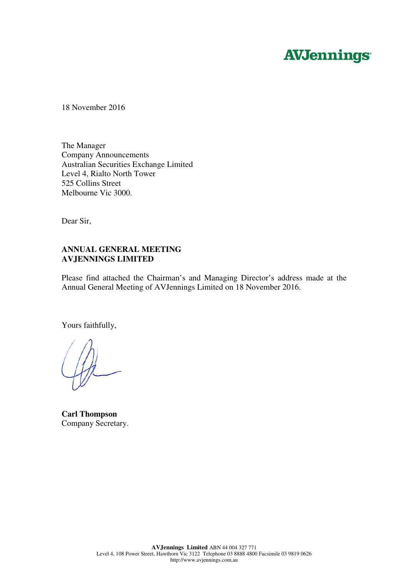# **AVJennings**

18 November 2016

The Manager Company Announcements Australian Securities Exchange Limited Level 4, Rialto North Tower 525 Collins Street Melbourne Vic 3000.

Dear Sir,

## **ANNUAL GENERAL MEETING AVJENNINGS LIMITED**

Please find attached the Chairman's and Managing Director's address made at the Annual General Meeting of AVJennings Limited on 18 November 2016.

Yours faithfully,

**Carl Thompson**  Company Secretary.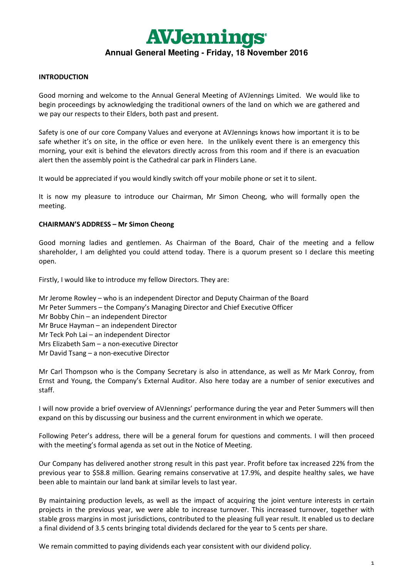

#### **INTRODUCTION**

Good morning and welcome to the Annual General Meeting of AVJennings Limited. We would like to begin proceedings by acknowledging the traditional owners of the land on which we are gathered and we pay our respects to their Elders, both past and present.

Safety is one of our core Company Values and everyone at AVJennings knows how important it is to be safe whether it's on site, in the office or even here. In the unlikely event there is an emergency this morning, your exit is behind the elevators directly across from this room and if there is an evacuation alert then the assembly point is the Cathedral car park in Flinders Lane.

It would be appreciated if you would kindly switch off your mobile phone or set it to silent.

It is now my pleasure to introduce our Chairman, Mr Simon Cheong, who will formally open the meeting.

#### **CHAIRMAN'S ADDRESS – Mr Simon Cheong**

Good morning ladies and gentlemen. As Chairman of the Board, Chair of the meeting and a fellow shareholder, I am delighted you could attend today. There is a quorum present so I declare this meeting open.

Firstly, I would like to introduce my fellow Directors. They are:

- Mr Jerome Rowley who is an independent Director and Deputy Chairman of the Board
- Mr Peter Summers the Company's Managing Director and Chief Executive Officer
- Mr Bobby Chin an independent Director
- Mr Bruce Hayman an independent Director
- Mr Teck Poh Lai an independent Director
- Mrs Elizabeth Sam a non-executive Director
- Mr David Tsang a non-executive Director

Mr Carl Thompson who is the Company Secretary is also in attendance, as well as Mr Mark Conroy, from Ernst and Young, the Company's External Auditor. Also here today are a number of senior executives and staff.

I will now provide a brief overview of AVJennings' performance during the year and Peter Summers will then expand on this by discussing our business and the current environment in which we operate.

Following Peter's address, there will be a general forum for questions and comments. I will then proceed with the meeting's formal agenda as set out in the Notice of Meeting.

Our Company has delivered another strong result in this past year. Profit before tax increased 22% from the previous year to \$58.8 million. Gearing remains conservative at 17.9%, and despite healthy sales, we have been able to maintain our land bank at similar levels to last year.

By maintaining production levels, as well as the impact of acquiring the joint venture interests in certain projects in the previous year, we were able to increase turnover. This increased turnover, together with stable gross margins in most jurisdictions, contributed to the pleasing full year result. It enabled us to declare a final dividend of 3.5 cents bringing total dividends declared for the year to 5 cents per share.

We remain committed to paying dividends each year consistent with our dividend policy.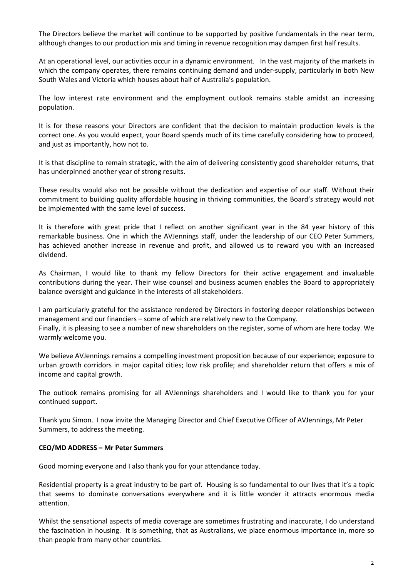The Directors believe the market will continue to be supported by positive fundamentals in the near term, although changes to our production mix and timing in revenue recognition may dampen first half results.

At an operational level, our activities occur in a dynamic environment. In the vast majority of the markets in which the company operates, there remains continuing demand and under-supply, particularly in both New South Wales and Victoria which houses about half of Australia's population.

The low interest rate environment and the employment outlook remains stable amidst an increasing population.

It is for these reasons your Directors are confident that the decision to maintain production levels is the correct one. As you would expect, your Board spends much of its time carefully considering how to proceed, and just as importantly, how not to.

It is that discipline to remain strategic, with the aim of delivering consistently good shareholder returns, that has underpinned another year of strong results.

These results would also not be possible without the dedication and expertise of our staff. Without their commitment to building quality affordable housing in thriving communities, the Board's strategy would not be implemented with the same level of success.

It is therefore with great pride that I reflect on another significant year in the 84 year history of this remarkable business. One in which the AVJennings staff, under the leadership of our CEO Peter Summers, has achieved another increase in revenue and profit, and allowed us to reward you with an increased dividend.

As Chairman, I would like to thank my fellow Directors for their active engagement and invaluable contributions during the year. Their wise counsel and business acumen enables the Board to appropriately balance oversight and guidance in the interests of all stakeholders.

I am particularly grateful for the assistance rendered by Directors in fostering deeper relationships between management and our financiers – some of which are relatively new to the Company. Finally, it is pleasing to see a number of new shareholders on the register, some of whom are here today. We warmly welcome you.

We believe AVJennings remains a compelling investment proposition because of our experience; exposure to urban growth corridors in major capital cities; low risk profile; and shareholder return that offers a mix of income and capital growth.

The outlook remains promising for all AVJennings shareholders and I would like to thank you for your continued support.

Thank you Simon. I now invite the Managing Director and Chief Executive Officer of AVJennings, Mr Peter Summers, to address the meeting.

### **CEO/MD ADDRESS – Mr Peter Summers**

Good morning everyone and I also thank you for your attendance today.

Residential property is a great industry to be part of. Housing is so fundamental to our lives that it's a topic that seems to dominate conversations everywhere and it is little wonder it attracts enormous media attention.

Whilst the sensational aspects of media coverage are sometimes frustrating and inaccurate, I do understand the fascination in housing. It is something, that as Australians, we place enormous importance in, more so than people from many other countries.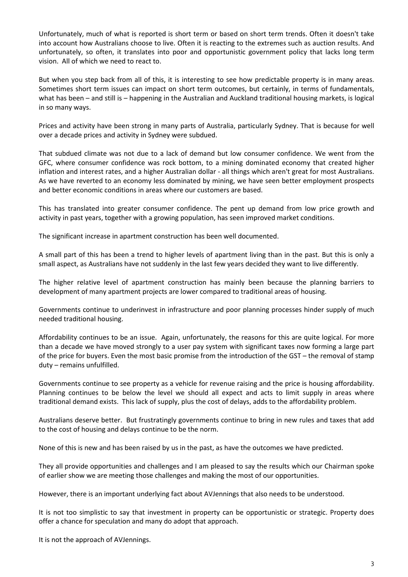Unfortunately, much of what is reported is short term or based on short term trends. Often it doesn't take into account how Australians choose to live. Often it is reacting to the extremes such as auction results. And unfortunately, so often, it translates into poor and opportunistic government policy that lacks long term vision. All of which we need to react to.

But when you step back from all of this, it is interesting to see how predictable property is in many areas. Sometimes short term issues can impact on short term outcomes, but certainly, in terms of fundamentals, what has been – and still is – happening in the Australian and Auckland traditional housing markets, is logical in so many ways.

Prices and activity have been strong in many parts of Australia, particularly Sydney. That is because for well over a decade prices and activity in Sydney were subdued.

That subdued climate was not due to a lack of demand but low consumer confidence. We went from the GFC, where consumer confidence was rock bottom, to a mining dominated economy that created higher inflation and interest rates, and a higher Australian dollar - all things which aren't great for most Australians. As we have reverted to an economy less dominated by mining, we have seen better employment prospects and better economic conditions in areas where our customers are based.

This has translated into greater consumer confidence. The pent up demand from low price growth and activity in past years, together with a growing population, has seen improved market conditions.

The significant increase in apartment construction has been well documented.

A small part of this has been a trend to higher levels of apartment living than in the past. But this is only a small aspect, as Australians have not suddenly in the last few years decided they want to live differently.

The higher relative level of apartment construction has mainly been because the planning barriers to development of many apartment projects are lower compared to traditional areas of housing.

Governments continue to underinvest in infrastructure and poor planning processes hinder supply of much needed traditional housing.

Affordability continues to be an issue. Again, unfortunately, the reasons for this are quite logical. For more than a decade we have moved strongly to a user pay system with significant taxes now forming a large part of the price for buyers. Even the most basic promise from the introduction of the GST – the removal of stamp duty – remains unfulfilled.

Governments continue to see property as a vehicle for revenue raising and the price is housing affordability. Planning continues to be below the level we should all expect and acts to limit supply in areas where traditional demand exists. This lack of supply, plus the cost of delays, adds to the affordability problem.

Australians deserve better. But frustratingly governments continue to bring in new rules and taxes that add to the cost of housing and delays continue to be the norm.

None of this is new and has been raised by us in the past, as have the outcomes we have predicted.

They all provide opportunities and challenges and I am pleased to say the results which our Chairman spoke of earlier show we are meeting those challenges and making the most of our opportunities.

However, there is an important underlying fact about AVJennings that also needs to be understood.

It is not too simplistic to say that investment in property can be opportunistic or strategic. Property does offer a chance for speculation and many do adopt that approach.

It is not the approach of AVJennings.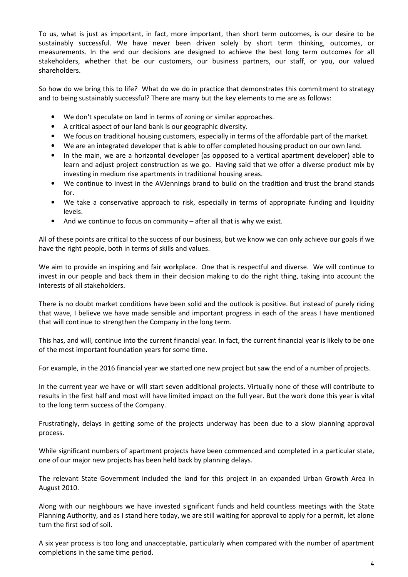To us, what is just as important, in fact, more important, than short term outcomes, is our desire to be sustainably successful. We have never been driven solely by short term thinking, outcomes, or measurements. In the end our decisions are designed to achieve the best long term outcomes for all stakeholders, whether that be our customers, our business partners, our staff, or you, our valued shareholders.

So how do we bring this to life? What do we do in practice that demonstrates this commitment to strategy and to being sustainably successful? There are many but the key elements to me are as follows:

- We don't speculate on land in terms of zoning or similar approaches.
- A critical aspect of our land bank is our geographic diversity.
- We focus on traditional housing customers, especially in terms of the affordable part of the market.
- We are an integrated developer that is able to offer completed housing product on our own land.
- In the main, we are a horizontal developer (as opposed to a vertical apartment developer) able to learn and adjust project construction as we go. Having said that we offer a diverse product mix by investing in medium rise apartments in traditional housing areas.
- We continue to invest in the AVJennings brand to build on the tradition and trust the brand stands for.
- We take a conservative approach to risk, especially in terms of appropriate funding and liquidity levels.
- And we continue to focus on community  $-$  after all that is why we exist.

All of these points are critical to the success of our business, but we know we can only achieve our goals if we have the right people, both in terms of skills and values.

We aim to provide an inspiring and fair workplace. One that is respectful and diverse. We will continue to invest in our people and back them in their decision making to do the right thing, taking into account the interests of all stakeholders.

There is no doubt market conditions have been solid and the outlook is positive. But instead of purely riding that wave, I believe we have made sensible and important progress in each of the areas I have mentioned that will continue to strengthen the Company in the long term.

This has, and will, continue into the current financial year. In fact, the current financial year is likely to be one of the most important foundation years for some time.

For example, in the 2016 financial year we started one new project but saw the end of a number of projects.

In the current year we have or will start seven additional projects. Virtually none of these will contribute to results in the first half and most will have limited impact on the full year. But the work done this year is vital to the long term success of the Company.

Frustratingly, delays in getting some of the projects underway has been due to a slow planning approval process.

While significant numbers of apartment projects have been commenced and completed in a particular state, one of our major new projects has been held back by planning delays.

The relevant State Government included the land for this project in an expanded Urban Growth Area in August 2010.

Along with our neighbours we have invested significant funds and held countless meetings with the State Planning Authority, and as I stand here today, we are still waiting for approval to apply for a permit, let alone turn the first sod of soil.

A six year process is too long and unacceptable, particularly when compared with the number of apartment completions in the same time period.